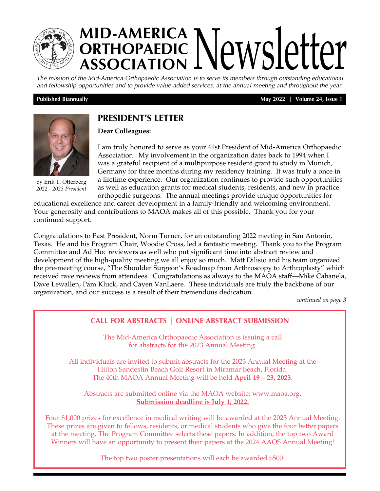

# **MID-AMERICA ORTHOPAEDIC NEWSLETTEY**

*The mission of the Mid-America Orthopaedic Association is to serve its members through outstanding educational and fellowship opportunities and to provide value-added services, at the annual meeting and throughout the year.*

 **Published Biannually May 2022 | Volume 24, Issue 1**



by Erik T. Otterberg *2022 - 2023 President*

# **PRESIDENT'S LETTER**

**Dear Colleagues:**

I am truly honored to serve as your 41st President of Mid-America Orthopaedic Association. My involvement in the organization dates back to 1994 when I was a grateful recipient of a multipurpose resident grant to study in Munich, Germany for three months during my residency training. It was truly a once in a lifetime experience. Our organization continues to provide such opportunities as well as education grants for medical students, residents, and new in practice orthopedic surgeons. The annual meetings provide unique opportunities for

educational excellence and career development in a family-friendly and welcoming environment. Your generosity and contributions to MAOA makes all of this possible. Thank you for your continued support.

Congratulations to Past President, Norm Turner, for an outstanding 2022 meeting in San Antonio, Texas. He and his Program Chair, Woodie Cross, led a fantastic meeting. Thank you to the Program Committee and Ad Hoc reviewers as well who put significant time into abstract review and development of the high-quality meeting we all enjoy so much. Matt Dilisio and his team organized the pre-meeting course, "The Shoulder Surgeon's Roadmap from Arthroscopy to Arthroplasty" which received rave reviews from attendees. Congratulations as always to the MAOA staff—Mike Cabanela, Dave Lewallen, Pam Kluck, and Cayen VanLaere. These individuals are truly the backbone of our organization, and our success is a result of their tremendous dedication.

*continued on page 3*

# **CALL FOR ABSTRACTS | ONLINE ABSTRACT SUBMISSION**

The Mid-America Orthopaedic Association is issuing a call for abstracts for the 2023 Annual Meeting.

All individuals are invited to submit abstracts for the 2023 Annual Meeting at the Hilton Sandestin Beach Golf Resort in Miramar Beach, Florida. The 40th MAOA Annual Meeting will be held **April 19 – 23, 2023**.

Abstracts are submitted online via the MAOA website: www.maoa.org. **Submission deadline is July 1, 2022.**

[Four \\$1,000 prizes for excellence in medical writing will be awarded at the 2023 Annual Meeting.](https://www.maoa.org/index.php?option=com_content&view=article&id=87:online-abstract-submission&catid=20:site-content)  These prizes are given to fellows, residents, or medical students who give the four better papers at the meeting. The Program Committee selects these papers. In addition, the top two Award Winners will have an opportunity to present their papers at the 2024 AAOS Annual Meeting!

The top two poster presentations will each be awarded \$500.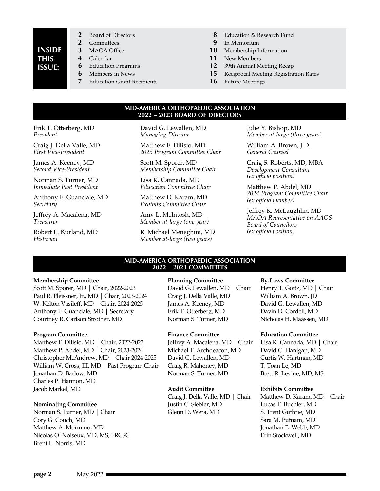# **INSIDE THIS ISSUE:**

- 2 Board of Directors<br>2 Committees **2** Committees
- **3** MAOA Office
	-
- **4** Calendar **6** Education Programs
- **6** Members in News
- 
- **7** Education Grant Recipients
- **8** Education & Research Fund
- **9** In Memorium
- **10** Membership Information
- **11** New Members
- **12** 39th Annual Meeting Recap
- **15** Reciprocal Meeting Registration Rates
- **16** Future Meetings

#### **MID-AMERICA ORTHOPAEDIC ASSOCIATION 2022 – 2023 BOARD OF DIRECTORS**

Erik T. Otterberg, MD *President*

Craig J. Della Valle, MD *First Vice-President*

James A. Keeney, MD *Second Vice-President*

Norman S. Turner, MD *Immediate Past President*

Anthony F. Guanciale, MD *Secretary*

Jeffrey A. Macalena, MD *Treasurer*

Robert L. Kurland, MD *Historian*

David G. Lewallen, MD *Managing Director*

Matthew F. Dilisio, MD *2023 Program Committee Chair* 

Scott M. Sporer, MD *Membership Committee Chair*

Lisa K. Cannada, MD *Education Committee Chair*

Matthew D. Karam, MD *Exhibits Committee Chair*

Amy L. McIntosh, MD *Member at-large (one year)*

R. Michael Meneghini, MD *Member at-large (two years)*

Julie Y. Bishop, MD *Member at-large (three years)*

William A. Brown, J.D. *General Counsel*

Craig S. Roberts, MD, MBA *Development Consultant (ex officio position)*

Matthew P. Abdel, MD *2024 Program Committee Chair (ex officio member)*

Jeffrey R. McLaughlin, MD *MAOA Representative on AAOS Board of Councilors (ex officio position)*

#### **MID-AMERICA ORTHOPAEDIC ASSOCIATION 2022 – 2023 COMMITTEES**

#### **Membership Committee**

Scott M. Sporer, MD | Chair, 2022-2023 Paul R. Fleissner, Jr., MD | Chair, 2023-2024 W. Kelton Vasileff, MD | Chair, 2024-2025 Anthony F. Guanciale, MD | Secretary Courtney R. Carlson Strother, MD

#### **Program Committee**

Matthew F. Dilisio, MD | Chair, 2022-2023 Matthew P. Abdel, MD | Chair, 2023-2024 Christopher McAndrew, MD | Chair 2024-2025 William W. Cross, III, MD | Past Program Chair Jonathan D. Barlow, MD Charles P. Hannon, MD Jacob Markel, MD

#### **Nominating Committee**

Norman S. Turner, MD | Chair Cory G. Couch, MD Matthew A. Mormino, MD Nicolas O. Noiseux, MD, MS, FRCSC Brent L. Norris, MD

#### **Planning Committee**

David G. Lewallen, MD | Chair Craig J. Della Valle, MD James A. Keeney, MD Erik T. Otterberg, MD Norman S. Turner, MD

#### **Finance Committee**

Jeffrey A. Macalena, MD | Chair Michael T. Archdeacon, MD David G. Lewallen, MD Craig R. Mahoney, MD Norman S. Turner, MD

#### **Audit Committee**

Craig J. Della Valle, MD | Chair Justin C. Siebler, MD Glenn D. Wera, MD

#### **By-Laws Committee**

Henry T. Goitz, MD | Chair William A. Brown, JD David G. Lewallen, MD Davin D. Cordell, MD Nicholas H. Maassen, MD

#### **Education Committee**

Lisa K. Cannada, MD | Chair David C. Flanigan, MD Curtis W. Hartman, MD T. Toan Le, MD Brett R. Levine, MD, MS

#### **Exhibits Committee**

Matthew D. Karam, MD | Chair Lucas T. Buchler, MD S. Trent Guthrie, MD Sara M. Putnam, MD Jonathan E. Webb, MD Erin Stockwell, MD